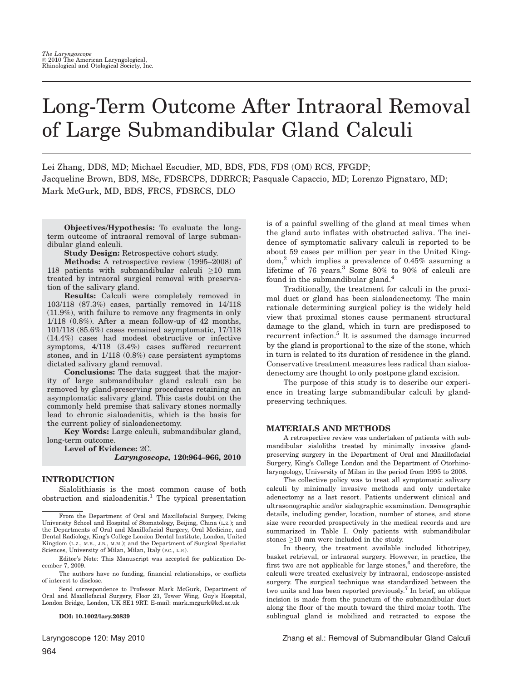# Long-Term Outcome After Intraoral Removal of Large Submandibular Gland Calculi

Lei Zhang, DDS, MD; Michael Escudier, MD, BDS, FDS, FDS (OM) RCS, FFGDP; Jacqueline Brown, BDS, MSc, FDSRCPS, DDRRCR; Pasquale Capaccio, MD; Lorenzo Pignataro, MD; Mark McGurk, MD, BDS, FRCS, FDSRCS, DLO

Objectives/Hypothesis: To evaluate the longterm outcome of intraoral removal of large submandibular gland calculi.

Study Design: Retrospective cohort study.

Methods: A retrospective review (1995–2008) of 118 patients with submandibular calculi  $>10$  mm treated by intraoral surgical removal with preservation of the salivary gland.

Results: Calculi were completely removed in 103/118 (87.3%) cases, partially removed in 14/118 (11.9%), with failure to remove any fragments in only 1/118 (0.8%). After a mean follow-up of 42 months, 101/118 (85.6%) cases remained asymptomatic, 17/118 (14.4%) cases had modest obstructive or infective symptoms, 4/118 (3.4%) cases suffered recurrent stones, and in 1/118 (0.8%) case persistent symptoms dictated salivary gland removal.

Conclusions: The data suggest that the majority of large submandibular gland calculi can be removed by gland-preserving procedures retaining an asymptomatic salivary gland. This casts doubt on the commonly held premise that salivary stones normally lead to chronic sialoadenitis, which is the basis for the current policy of sialoadenectomy.

Key Words: Large calculi, submandibular gland, long-term outcome.

Level of Evidence: 2C.

Laryngoscope, 120:964–966, 2010

# INTRODUCTION

Sialolithiasis is the most common cause of both  $obstruction$  and sialoadenitis.<sup>1</sup> The typical presentation

Editor's Note: This Manuscript was accepted for publication December 7, 2009.

The authors have no funding, financial relationships, or conflicts of interest to disclose.

Send correspondence to Professor Mark McGurk, Department of Oral and Maxillofacial Surgery, Floor 23, Tower Wing, Guy's Hospital, London Bridge, London, UK SE1 9RT. E-mail: mark.mcgurk@kcl.ac.uk

DOI: 10.1002/lary.20839

is of a painful swelling of the gland at meal times when the gland auto inflates with obstructed saliva. The incidence of symptomatic salivary calculi is reported to be about 59 cases per million per year in the United King- $\text{dom}^2$  which implies a prevalence of 0.45% assuming a lifetime of 76 years.<sup>3</sup> Some 80% to 90% of calculi are found in the submandibular gland.<sup>4</sup>

Traditionally, the treatment for calculi in the proximal duct or gland has been sialoadenectomy. The main rationale determining surgical policy is the widely held view that proximal stones cause permanent structural damage to the gland, which in turn are predisposed to recurrent infection.<sup>5</sup> It is assumed the damage incurred by the gland is proportional to the size of the stone, which in turn is related to its duration of residence in the gland. Conservative treatment measures less radical than sialoadenectomy are thought to only postpone gland excision.

The purpose of this study is to describe our experience in treating large submandibular calculi by glandpreserving techniques.

## MATERIALS AND METHODS

A retrospective review was undertaken of patients with submandibular sialoliths treated by minimally invasive glandpreserving surgery in the Department of Oral and Maxillofacial Surgery, King's College London and the Department of Otorhinolaryngology, University of Milan in the period from 1995 to 2008.

The collective policy was to treat all symptomatic salivary calculi by minimally invasive methods and only undertake adenectomy as a last resort. Patients underwent clinical and ultrasonographic and/or sialographic examination. Demographic details, including gender, location, number of stones, and stone size were recorded prospectively in the medical records and are summarized in Table I. Only patients with submandibular stones  $>10$  mm were included in the study.

In theory, the treatment available included lithotripsy, basket retrieval, or intraoral surgery. However, in practice, the first two are not applicable for large stones,<sup>6</sup> and therefore, the calculi were treated exclusively by intraoral, endoscope-assisted surgery. The surgical technique was standardized between the two units and has been reported previously.<sup>7</sup> In brief, an oblique incision is made from the punctum of the submandibular duct along the floor of the mouth toward the third molar tooth. The sublingual gland is mobilized and retracted to expose the

From the Department of Oral and Maxillofacial Surgery, Peking University School and Hospital of Stomatology, Beijing, China (L.Z.); and the Departments of Oral and Maxillofacial Surgery, Oral Medicine, and Dental Radiology, King's College London Dental Institute, London, United Kingdom (L.Z., M.E., J.B., M.M.); and the Department of Surgical Specialist Sciences, University of Milan, Milan, Italy (P.C., L.P.).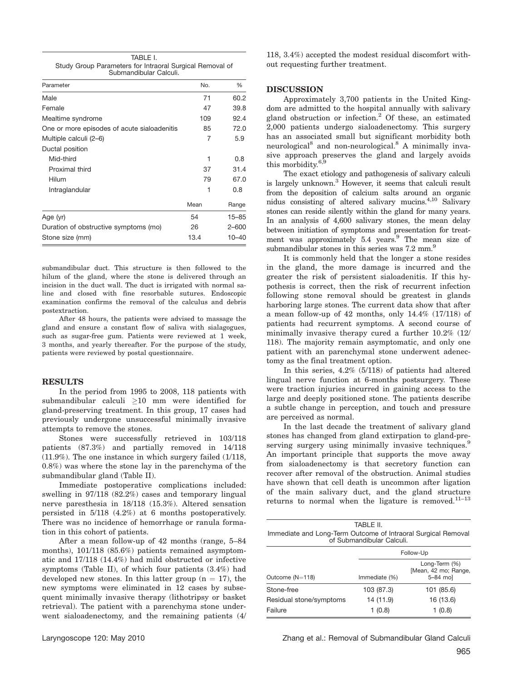| TABLE I.                                                 |
|----------------------------------------------------------|
| Study Group Parameters for Intraoral Surgical Removal of |
| Submandibular Calculi.                                   |

| Parameter                                   | No.  | %         |
|---------------------------------------------|------|-----------|
| Male                                        | 71   | 60.2      |
| Female                                      | 47   | 39.8      |
| Mealtime syndrome                           | 109  | 92.4      |
| One or more episodes of acute sialoadenitis | 85   | 72.0      |
| Multiple calculi (2–6)                      | 7    | 5.9       |
| Ductal position                             |      |           |
| Mid-third                                   | 1    | 0.8       |
| Proximal third                              | 37   | 31.4      |
| Hilum                                       | 79   | 67.0      |
| Intraglandular                              | 1    | 0.8       |
|                                             | Mean | Range     |
| Age (yr)                                    | 54   | $15 - 85$ |
| Duration of obstructive symptoms (mo)       | 26   | $2 - 600$ |
| Stone size (mm)                             | 13.4 | $10 - 40$ |

submandibular duct. This structure is then followed to the hilum of the gland, where the stone is delivered through an incision in the duct wall. The duct is irrigated with normal saline and closed with fine resorbable sutures. Endoscopic examination confirms the removal of the calculus and debris postextraction.

After 48 hours, the patients were advised to massage the gland and ensure a constant flow of saliva with sialagogues, such as sugar-free gum. Patients were reviewed at 1 week, 3 months, and yearly thereafter. For the purpose of the study, patients were reviewed by postal questionnaire.

#### **RESULTS**

In the period from 1995 to 2008, 118 patients with submandibular calculi  $\geq 10$  mm were identified for gland-preserving treatment. In this group, 17 cases had previously undergone unsuccessful minimally invasive attempts to remove the stones.

Stones were successfully retrieved in 103/118 patients (87.3%) and partially removed in 14/118 (11.9%). The one instance in which surgery failed (1/118, 0.8%) was where the stone lay in the parenchyma of the submandibular gland (Table II).

Immediate postoperative complications included: swelling in 97/118 (82.2%) cases and temporary lingual nerve paresthesia in 18/118 (15.3%). Altered sensation persisted in 5/118 (4.2%) at 6 months postoperatively. There was no incidence of hemorrhage or ranula formation in this cohort of patients.

After a mean follow-up of 42 months (range, 5–84 months), 101/118 (85.6%) patients remained asymptomatic and 17/118 (14.4%) had mild obstructed or infective symptoms (Table II), of which four patients (3.4%) had developed new stones. In this latter group ( $n = 17$ ), the new symptoms were eliminated in 12 cases by subsequent minimally invasive therapy (lithotripsy or basket retrieval). The patient with a parenchyma stone underwent sialoadenectomy, and the remaining patients (4/

118, 3.4%) accepted the modest residual discomfort without requesting further treatment.

# **DISCUSSION**

Approximately 3,700 patients in the United Kingdom are admitted to the hospital annually with salivary gland obstruction or infection.<sup>2</sup> Of these, an estimated 2,000 patients undergo sialoadenectomy. This surgery has an associated small but significant morbidity both neurological<sup>8</sup> and non-neurological.<sup>8</sup> A minimally invasive approach preserves the gland and largely avoids this morbidity.<sup>6,</sup>

The exact etiology and pathogenesis of salivary calculi is largely unknown.<sup>3</sup> However, it seems that calculi result from the deposition of calcium salts around an organic nidus consisting of altered salivary mucins.4,10 Salivary stones can reside silently within the gland for many years. In an analysis of 4,600 salivary stones, the mean delay between initiation of symptoms and presentation for treatment was approximately 5.4 years.<sup>9</sup> The mean size of submandibular stones in this series was 7.2 mm.<sup>9</sup>

It is commonly held that the longer a stone resides in the gland, the more damage is incurred and the greater the risk of persistent sialoadenitis. If this hypothesis is correct, then the risk of recurrent infection following stone removal should be greatest in glands harboring large stones. The current data show that after a mean follow-up of 42 months, only 14.4% (17/118) of patients had recurrent symptoms. A second course of minimally invasive therapy cured a further 10.2% (12/ 118). The majority remain asymptomatic, and only one patient with an parenchymal stone underwent adenectomy as the final treatment option.

In this series, 4.2% (5/118) of patients had altered lingual nerve function at 6-months postsurgery. These were traction injuries incurred in gaining access to the large and deeply positioned stone. The patients describe a subtle change in perception, and touch and pressure are perceived as normal.

In the last decade the treatment of salivary gland stones has changed from gland extirpation to gland-preserving surgery using minimally invasive techniques.<sup>9</sup> An important principle that supports the move away from sialoadenectomy is that secretory function can recover after removal of the obstruction. Animal studies have shown that cell death is uncommon after ligation of the main salivary duct, and the gland structure returns to normal when the ligature is removed. $11-13$ 

| TABI F II.                                                                                 |  |
|--------------------------------------------------------------------------------------------|--|
| Immediate and Long-Term Outcome of Intraoral Surgical Removal<br>of Submandibular Calculi. |  |
|                                                                                            |  |

|                         | Follow-Up     |                                                   |  |
|-------------------------|---------------|---------------------------------------------------|--|
| Outcome (N=118)         | Immediate (%) | Long-Term (%)<br>[Mean, 42 mo; Range,<br>5-84 mol |  |
| Stone-free              | 103 (87.3)    | 101 (85.6)                                        |  |
| Residual stone/symptoms | 14 (11.9)     | 16 (13.6)                                         |  |
| Failure                 | 1(0.8)        | 1(0.8)                                            |  |